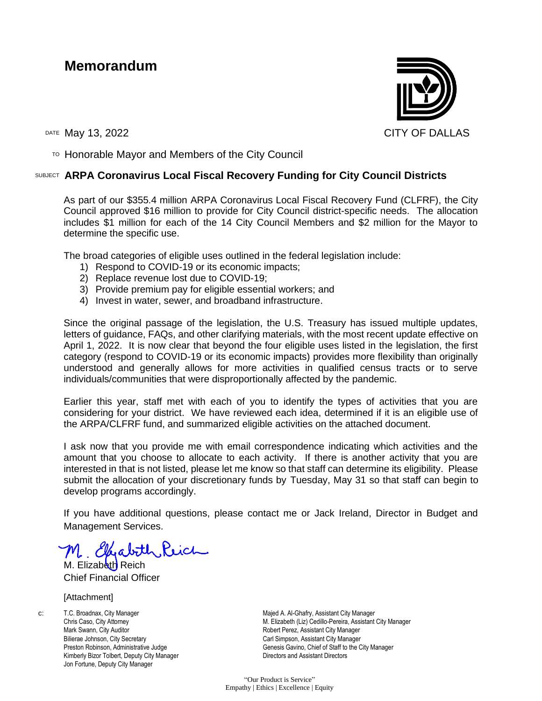## **Memorandum**



TO Honorable Mayor and Members of the City Council

## SUBJECT **ARPA Coronavirus Local Fiscal Recovery Funding for City Council Districts**

As part of our \$355.4 million ARPA Coronavirus Local Fiscal Recovery Fund (CLFRF), the City Council approved \$16 million to provide for City Council district-specific needs. The allocation includes \$1 million for each of the 14 City Council Members and \$2 million for the Mayor to determine the specific use.

The broad categories of eligible uses outlined in the federal legislation include:

- 1) Respond to COVID-19 or its economic impacts;
- 2) Replace revenue lost due to COVID-19;
- 3) Provide premium pay for eligible essential workers; and
- 4) Invest in water, sewer, and broadband infrastructure.

Since the original passage of the legislation, the U.S. Treasury has issued multiple updates, letters of guidance, FAQs, and other clarifying materials, with the most recent update effective on April 1, 2022. It is now clear that beyond the four eligible uses listed in the legislation, the first category (respond to COVID-19 or its economic impacts) provides more flexibility than originally understood and generally allows for more activities in qualified census tracts or to serve individuals/communities that were disproportionally affected by the pandemic.

Earlier this year, staff met with each of you to identify the types of activities that you are considering for your district. We have reviewed each idea, determined if it is an eligible use of the ARPA/CLFRF fund, and summarized eligible activities on the attached document.

I ask now that you provide me with email correspondence indicating which activities and the amount that you choose to allocate to each activity. If there is another activity that you are interested in that is not listed, please let me know so that staff can determine its eligibility. Please submit the allocation of your discretionary funds by Tuesday, May 31 so that staff can begin to develop programs accordingly.

If you have additional questions, please contact me or Jack Ireland, Director in Budget and Management Services.

M. Effabith Reich

M. Elizabeth Reich Chief Financial Officer

## [Attachment]

c: T.C. Broadnax, City Manager Chris Caso, City Attorney Mark Swann, City Auditor Bilierae Johnson, City Secretary Preston Robinson, Administrative Judge Kimberly Bizor Tolbert, Deputy City Manager Jon Fortune, Deputy City Manager

Majed A. Al-Ghafry, Assistant City Manager M. Elizabeth (Liz) Cedillo-Pereira, Assistant City Manager Robert Perez, Assistant City Manager Carl Simpson, Assistant City Manager Genesis Gavino, Chief of Staff to the City Manager Directors and Assistant Directors

"Our Product is Service" Empathy | Ethics | Excellence | Equity